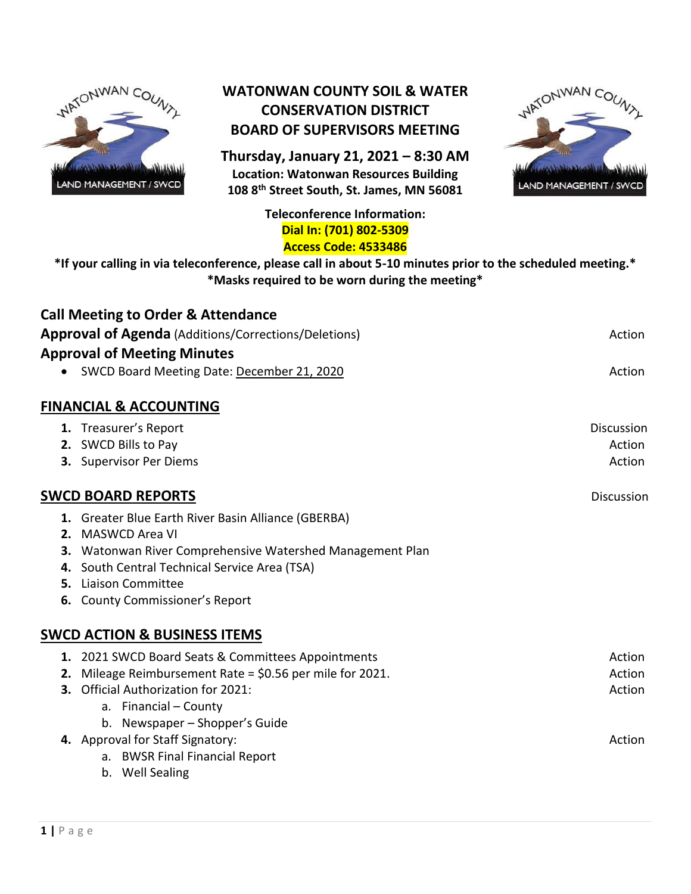

# **WATONWAN COUNTY SOIL & WATER CONSERVATION DISTRICT BOARD OF SUPERVISORS MEETING**

**Thursday, January 21, 2021 – 8:30 AM Location: Watonwan Resources Building 108 8th Street South, St. James, MN 56081**



#### **Teleconference Information: Dial In: (701) 802-5309 Access Code: 4533486**

**\*If your calling in via teleconference, please call in about 5-10 minutes prior to the scheduled meeting.\* \*Masks required to be worn during the meeting\***

|    | <b>Call Meeting to Order &amp; Attendance</b>               |                   |
|----|-------------------------------------------------------------|-------------------|
|    | <b>Approval of Agenda</b> (Additions/Corrections/Deletions) | Action            |
|    | <b>Approval of Meeting Minutes</b>                          |                   |
|    | SWCD Board Meeting Date: December 21, 2020                  | Action            |
|    | <b>FINANCIAL &amp; ACCOUNTING</b>                           |                   |
|    | 1. Treasurer's Report                                       | <b>Discussion</b> |
|    | 2. SWCD Bills to Pay                                        | Action            |
|    | 3. Supervisor Per Diems                                     | Action            |
|    | <b>SWCD BOARD REPORTS</b>                                   | Discussion        |
|    | 1. Greater Blue Earth River Basin Alliance (GBERBA)         |                   |
|    | 2. MASWCD Area VI                                           |                   |
|    | 3. Watonwan River Comprehensive Watershed Management Plan   |                   |
|    | 4. South Central Technical Service Area (TSA)               |                   |
|    | <b>5.</b> Liaison Committee                                 |                   |
|    | <b>6.</b> County Commissioner's Report                      |                   |
|    | <b>SWCD ACTION &amp; BUSINESS ITEMS</b>                     |                   |
|    | 1. 2021 SWCD Board Seats & Committees Appointments          | Action            |
| 2. | Mileage Reimbursement Rate = \$0.56 per mile for 2021.      | Action            |
| 3. | Official Authorization for 2021:                            | Action            |
|    | a. Financial - County                                       |                   |
|    | b. Newspaper - Shopper's Guide                              |                   |
|    | 4. Approval for Staff Signatory:                            | Action            |
|    | a. BWSR Final Financial Report                              |                   |
|    | b. Well Sealing                                             |                   |